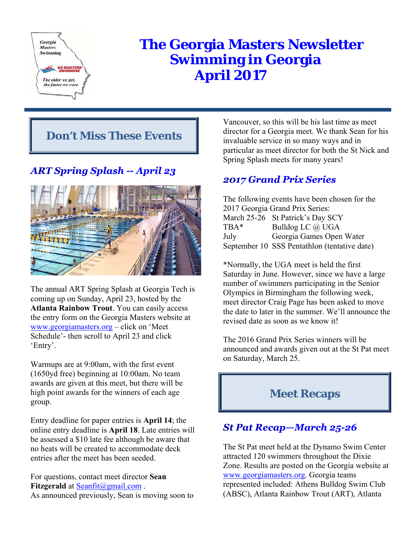

# **The Georgia Masters Newsletter Swimming in Georgia April 2017**

# **Don't Miss These Events**

# **ART Spring Splash -- April 23**



The annual ART Spring Splash at Georgia Tech is coming up on Sunday, April 23, hosted by the **Atlanta Rainbow Trout**. You can easily access the entry form on the Georgia Masters website at www.georgiamasters.org – click on 'Meet Schedule'- then scroll to April 23 and click 'Entry'.

Warmups are at 9:00am, with the first event (1650yd free) beginning at 10:00am. No team awards are given at this meet, but there will be high point awards for the winners of each age group.

Entry deadline for paper entries is **April 14**; the online entry deadline is **April 18**. Late entries will be assessed a \$10 late fee although be aware that no heats will be created to accommodate deck entries after the meet has been seeded.

For questions, contact meet director **Sean Fitzgerald** at Seanfit@gmail.com. As announced previously, Sean is moving soon to Vancouver, so this will be his last time as meet director for a Georgia meet. We thank Sean for his invaluable service in so many ways and in particular as meet director for both the St Nick and Spring Splash meets for many years!

## **2017 Grand Prix Series**

The following events have been chosen for the 2017 Georgia Grand Prix Series: March 25-26 St Patrick's Day SCY TBA\* Bulldog LC @ UGA July Georgia Games Open Water September 10 SSS Pentathlon (tentative date)

\*Normally, the UGA meet is held the first Saturday in June. However, since we have a large number of swimmers participating in the Senior Olympics in Birmingham the following week, meet director Craig Page has been asked to move the date to later in the summer. We'll announce the revised date as soon as we know it!

The 2016 Grand Prix Series winners will be announced and awards given out at the St Pat meet on Saturday, March 25.

# **Meet Recaps**

# **St Pat Recap—March 25-26**

The St Pat meet held at the Dynamo Swim Center attracted 120 swimmers throughout the Dixie Zone. Results are posted on the Georgia website at www.georgiamasters.org. Georgia teams represented included: Athens Bulldog Swim Club (ABSC), Atlanta Rainbow Trout (ART), Atlanta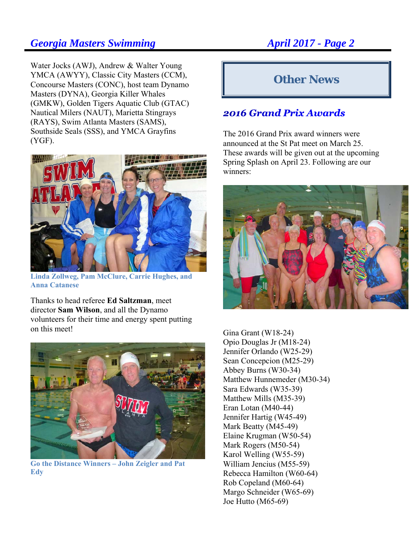Water Jocks (AWJ), Andrew & Walter Young YMCA (AWYY), Classic City Masters (CCM), Concourse Masters (CONC), host team Dynamo Masters (DYNA), Georgia Killer Whales (GMKW), Golden Tigers Aquatic Club (GTAC) Nautical Milers (NAUT), Marietta Stingrays (RAYS), Swim Atlanta Masters (SAMS), Southside Seals (SSS), and YMCA Grayfins (YGF).



**Linda Zollweg, Pam McClure, Carrie Hughes, and Anna Catanese** 

Thanks to head referee **Ed Saltzman**, meet director **Sam Wilson**, and all the Dynamo volunteers for their time and energy spent putting on this meet!



**Go the Distance Winners – John Zeigler and Pat Edy** 

# **Other News**

## **2016 Grand Prix Awards**

The 2016 Grand Prix award winners were announced at the St Pat meet on March 25. These awards will be given out at the upcoming Spring Splash on April 23. Following are our winners:



Gina Grant (W18-24) Opio Douglas Jr (M18-24) Jennifer Orlando (W25-29) Sean Concepcion (M25-29) Abbey Burns (W30-34) Matthew Hunnemeder (M30-34) Sara Edwards (W35-39) Matthew Mills (M35-39) Eran Lotan (M40-44) Jennifer Hartig (W45-49) Mark Beatty (M45-49) Elaine Krugman (W50-54) Mark Rogers (M50-54) Karol Welling (W55-59) William Jencius (M55-59) Rebecca Hamilton (W60-64) Rob Copeland (M60-64) Margo Schneider (W65-69) Joe Hutto (M65-69)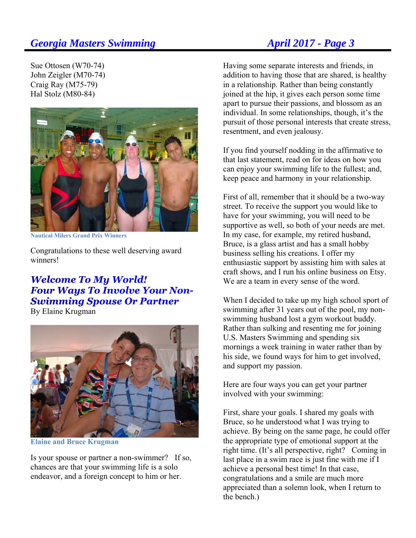### Sue Ottosen (W70-74) John Zeigler (M70-74) Craig Ray (M75-79) Hal Stolz (M80-84)



**Nautical Milers Grand Prix Winners** 

Congratulations to these well deserving award winners!

### **Welcome To My World! Four Ways To Involve Your Non-Swimming Spouse Or Partner** By Elaine Krugman



**Elaine and Bruce Krugman** 

Is your spouse or partner a non-swimmer? If so, chances are that your swimming life is a solo endeavor, and a foreign concept to him or her.

Having some separate interests and friends, in addition to having those that are shared, is healthy in a relationship. Rather than being constantly joined at the hip, it gives each person some time apart to pursue their passions, and blossom as an individual. In some relationships, though, it's the pursuit of those personal interests that create stress, resentment, and even jealousy.

If you find yourself nodding in the affirmative to that last statement, read on for ideas on how you can enjoy your swimming life to the fullest; and, keep peace and harmony in your relationship.

First of all, remember that it should be a two-way street. To receive the support you would like to have for your swimming, you will need to be supportive as well, so both of your needs are met. In my case, for example, my retired husband, Bruce, is a glass artist and has a small hobby business selling his creations. I offer my enthusiastic support by assisting him with sales at craft shows, and I run his online business on Etsy. We are a team in every sense of the word.

When I decided to take up my high school sport of swimming after 31 years out of the pool, my nonswimming husband lost a gym workout buddy. Rather than sulking and resenting me for joining U.S. Masters Swimming and spending six mornings a week training in water rather than by his side, we found ways for him to get involved, and support my passion.

Here are four ways you can get your partner involved with your swimming:

First, share your goals. I shared my goals with Bruce, so he understood what I was trying to achieve. By being on the same page, he could offer the appropriate type of emotional support at the right time. (It's all perspective, right? Coming in last place in a swim race is just fine with me if I achieve a personal best time! In that case, congratulations and a smile are much more appreciated than a solemn look, when I return to the bench.)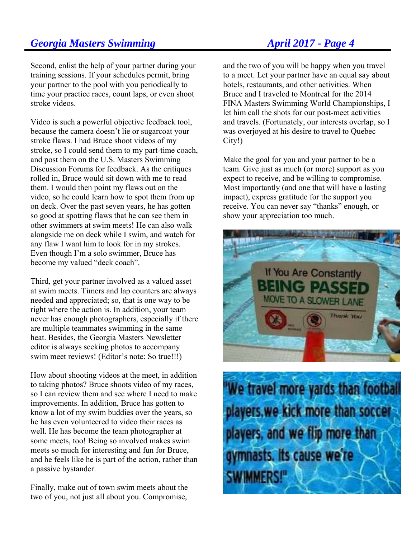### Second, enlist the help of your partner during your training sessions. If your schedules permit, bring your partner to the pool with you periodically to time your practice races, count laps, or even shoot stroke videos.

Video is such a powerful objective feedback tool, because the camera doesn't lie or sugarcoat your stroke flaws. I had Bruce shoot videos of my stroke, so I could send them to my part-time coach, and post them on the U.S. Masters Swimming Discussion Forums for feedback. As the critiques rolled in, Bruce would sit down with me to read them. I would then point my flaws out on the video, so he could learn how to spot them from up on deck. Over the past seven years, he has gotten so good at spotting flaws that he can see them in other swimmers at swim meets! He can also walk alongside me on deck while I swim, and watch for any flaw I want him to look for in my strokes. Even though I'm a solo swimmer, Bruce has become my valued "deck coach".

Third, get your partner involved as a valued asset at swim meets. Timers and lap counters are always needed and appreciated; so, that is one way to be right where the action is. In addition, your team never has enough photographers, especially if there are multiple teammates swimming in the same heat. Besides, the Georgia Masters Newsletter editor is always seeking photos to accompany swim meet reviews! (Editor's note: So true!!!)

How about shooting videos at the meet, in addition to taking photos? Bruce shoots video of my races, so I can review them and see where I need to make improvements. In addition, Bruce has gotten to know a lot of my swim buddies over the years, so he has even volunteered to video their races as well. He has become the team photographer at some meets, too! Being so involved makes swim meets so much for interesting and fun for Bruce, and he feels like he is part of the action, rather than a passive bystander.

Finally, make out of town swim meets about the two of you, not just all about you. Compromise,

and the two of you will be happy when you travel to a meet. Let your partner have an equal say about hotels, restaurants, and other activities. When Bruce and I traveled to Montreal for the 2014 FINA Masters Swimming World Championships, I let him call the shots for our post-meet activities and travels. (Fortunately, our interests overlap, so I was overjoyed at his desire to travel to Quebec City!)

Make the goal for you and your partner to be a team. Give just as much (or more) support as you expect to receive, and be willing to compromise. Most importantly (and one that will have a lasting impact), express gratitude for the support you receive. You can never say "thanks" enough, or show your appreciation too much.



"We travel more yards than football players, we kick more than soccer players, and we flip more than gymnasts. Its cause we're **SWIMMERS!**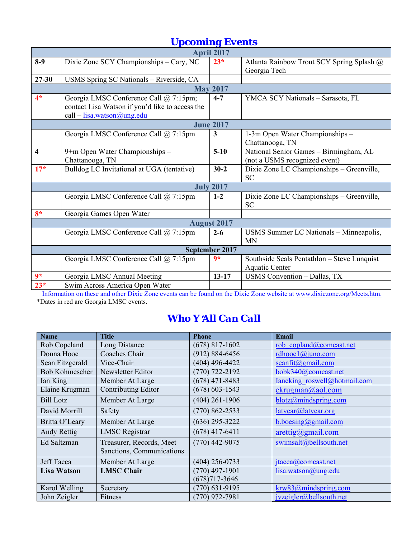| <b>Upcoming Events</b>  |                                                                                                                                                |                  |                                                                         |  |  |  |  |
|-------------------------|------------------------------------------------------------------------------------------------------------------------------------------------|------------------|-------------------------------------------------------------------------|--|--|--|--|
| <b>April 2017</b>       |                                                                                                                                                |                  |                                                                         |  |  |  |  |
| $8-9$                   | Dixie Zone SCY Championships - Cary, NC                                                                                                        | $23*$            | Atlanta Rainbow Trout SCY Spring Splash @<br>Georgia Tech               |  |  |  |  |
| $27 - 30$               | USMS Spring SC Nationals - Riverside, CA                                                                                                       |                  |                                                                         |  |  |  |  |
| <b>May 2017</b>         |                                                                                                                                                |                  |                                                                         |  |  |  |  |
| $4*$                    | Georgia LMSC Conference Call @ 7:15pm;<br>contact Lisa Watson if you'd like to access the<br>call $-\underline{\text{lisa.watson}(a)}$ ung.edu | $4 - 7$          | YMCA SCY Nationals - Sarasota, FL                                       |  |  |  |  |
| <b>June 2017</b>        |                                                                                                                                                |                  |                                                                         |  |  |  |  |
|                         | Georgia LMSC Conference Call @ 7:15pm                                                                                                          | 3                | 1-3m Open Water Championships -<br>Chattanooga, TN                      |  |  |  |  |
| $\overline{\mathbf{4}}$ | 9+m Open Water Championships -<br>Chattanooga, TN                                                                                              | $5-10$           | National Senior Games - Birmingham, AL<br>(not a USMS recognized event) |  |  |  |  |
| $17*$                   | Bulldog LC Invitational at UGA (tentative)                                                                                                     | $30 - 2$         | Dixie Zone LC Championships - Greenville,<br><b>SC</b>                  |  |  |  |  |
|                         |                                                                                                                                                | <b>July 2017</b> |                                                                         |  |  |  |  |
|                         | Georgia LMSC Conference Call @ 7:15pm                                                                                                          | $1 - 2$          | Dixie Zone LC Championships - Greenville,<br><b>SC</b>                  |  |  |  |  |
| $8*$                    | Georgia Games Open Water                                                                                                                       |                  |                                                                         |  |  |  |  |
| <b>August 2017</b>      |                                                                                                                                                |                  |                                                                         |  |  |  |  |
|                         | Georgia LMSC Conference Call @ 7:15pm                                                                                                          | $2 - 6$          | USMS Summer LC Nationals - Minneapolis,<br><b>MN</b>                    |  |  |  |  |
| September 2017          |                                                                                                                                                |                  |                                                                         |  |  |  |  |
|                         | Georgia LMSC Conference Call @ 7:15pm                                                                                                          | $9*$             | Southside Seals Pentathlon - Steve Lunquist<br>Aquatic Center           |  |  |  |  |
| $9*$                    | Georgia LMSC Annual Meeting                                                                                                                    | $13 - 17$        | <b>USMS</b> Convention - Dallas, TX                                     |  |  |  |  |
| $23*$                   | Swim Across America Open Water                                                                                                                 |                  |                                                                         |  |  |  |  |

Information on these and other Dixie Zone events can be found on the Dixie Zone website at www.dixiezone.org/Meets.htm. \*Dates in red are Georgia LMSC events.

# *Who Y*=*All Can Call*

| <b>Name</b>           | <b>Title</b>              | <b>Phone</b>       | Email                              |
|-----------------------|---------------------------|--------------------|------------------------------------|
| Rob Copeland          | Long Distance             | $(678)$ 817-1602   | rob copland@comcast.net            |
| Donna Hooe            | Coaches Chair             | $(912) 884 - 6456$ | rdhooe $1$ @juno.com               |
| Sean Fitzgerald       | Vice-Chair                | $(404)$ 496-4422   | $seanfit(\omega gmail.com)$        |
| <b>Bob Kohmescher</b> | Newsletter Editor         | $(770)$ 722-2192   | bobk340@comcast.net                |
| Ian King              | Member At Large           | $(678)$ 471-8483   | Ianeking roswell@hotmail.com       |
| Elaine Krugman        | Contributing Editor       | $(678) 603 - 1543$ | ekrugman@aol.com                   |
| <b>Bill Lotz</b>      | Member At Large           | $(404)$ 261-1906   | blotz@mindspring.com               |
| David Morrill         | Safety                    | $(770) 862 - 2533$ | latycar@latycar.org                |
| Britta O'Leary        | Member At Large           | $(636)$ 295-3222   | b.boesing@gmail.com                |
| Andy Rettig           | <b>LMSC</b> Registrar     | $(678)$ 417-6411   | $\arcti\frac{g}{\omega}$ gmail.com |
| Ed Saltzman           | Treasurer, Records, Meet  | $(770)$ 442-9075   | swimsalt@bellsouth.net             |
|                       | Sanctions, Communications |                    |                                    |
| Jeff Tacca            | Member At Large           | $(404)$ 256-0733   | $\text{itacca}(a)$ comcast.net     |
| <b>Lisa Watson</b>    | <b>LMSC Chair</b>         | $(770)$ 497-1901   | lisa.watson@ung.edu                |
|                       |                           | $(678)717 - 3646$  |                                    |
| Karol Welling         | Secretary                 | $(770)$ 631-9195   | krw83@mindspring.com               |
| John Zeigler          | Fitness                   | $(770)$ 972-7981   | jvzeigler@bellsouth.net            |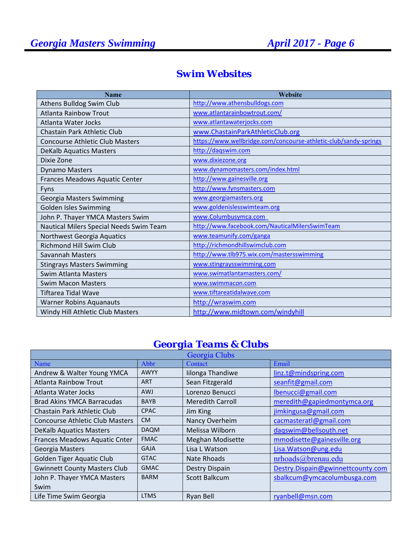## *Swim Websites*

| <b>Name</b>                             | Website                                                          |
|-----------------------------------------|------------------------------------------------------------------|
| Athens Bulldog Swim Club                | http://www.athensbulldogs.com                                    |
| <b>Atlanta Rainbow Trout</b>            | www.atlantarainbowtrout.com/                                     |
| Atlanta Water Jocks                     | www.atlantawaterjocks.com                                        |
| Chastain Park Athletic Club             | www.ChastainParkAthleticClub.org                                 |
| <b>Concourse Athletic Club Masters</b>  | https://www.wellbridge.com/concourse-athletic-club/sandy-springs |
| <b>DeKalb Aquatics Masters</b>          | http://dagswim.com                                               |
| Dixie Zone                              | www.dixiezone.org                                                |
| <b>Dynamo Masters</b>                   | www.dynamomasters.com/index.html                                 |
| Frances Meadows Aquatic Center          | http://www.gainesville.org                                       |
| Fyns                                    | http://www.fynsmasters.com                                       |
| Georgia Masters Swimming                | www.georgiamasters.org                                           |
| <b>Golden Isles Swimming</b>            | www.goldenislesswimteam.org                                      |
| John P. Thayer YMCA Masters Swim        | www.Columbusymca.com                                             |
| Nautical Milers Special Needs Swim Team | http://www.facebook.com/NauticalMilersSwimTeam                   |
| Northwest Georgia Aquatics              | www.teamunify.com/ganga                                          |
| <b>Richmond Hill Swim Club</b>          | http://richmondhillswimclub.com                                  |
| Savannah Masters                        | http://www.tlb975.wix.com/mastersswimming                        |
| <b>Stingrays Masters Swimming</b>       | www.stingraysswimming.com                                        |
| Swim Atlanta Masters                    | www.swimatlantamasters.com/                                      |
| <b>Swim Macon Masters</b>               | www.swimmacon.com                                                |
| <b>Tiftarea Tidal Wave</b>              | www.tiftareatidalwave.com                                        |
| <b>Warner Robins Aquanauts</b>          | http://wraswim.com                                               |
| Windy Hill Athletic Club Masters        | http://www.midtown.com/windyhill                                 |

## *Georgia Teams & Clubs*

| Georgia Clubs                          |             |                         |                                   |  |
|----------------------------------------|-------------|-------------------------|-----------------------------------|--|
| Name                                   | Abbr        | Contact                 | Email                             |  |
| Andrew & Walter Young YMCA             | <b>AWYY</b> | Iilonga Thandiwe        | linz.t@mindspring.com             |  |
| <b>Atlanta Rainbow Trout</b>           | <b>ART</b>  | Sean Fitzgerald         | seanfit@gmail.com                 |  |
| Atlanta Water Jocks                    | <b>AWJ</b>  | Lorenzo Benucci         | lbenucci@gmail.com                |  |
| <b>Brad Akins YMCA Barracudas</b>      | <b>BAYB</b> | <b>Meredith Carroll</b> | meredith@gapiedmontymca.org       |  |
| Chastain Park Athletic Club            | <b>CPAC</b> | Jim King                | jimkingusa@gmail.com              |  |
| <b>Concourse Athletic Club Masters</b> | <b>CM</b>   | Nancy Overheim          | cacmasteratl@gmail.com            |  |
| <b>DeKalb Aquatics Masters</b>         | <b>DAQM</b> | Melissa Wilborn         | dagswim@bellsouth.net             |  |
| Frances Meadows Aquatic Cnter          | <b>FMAC</b> | <b>Meghan Modisette</b> | mmodisette@gainesville.org        |  |
| Georgia Masters                        | <b>GAJA</b> | Lisa L Watson           | Lisa. Watson@ung.edu              |  |
| Golden Tiger Aquatic Club              | <b>GTAC</b> | <b>Nate Rhoads</b>      | nrhoads@brenau.edu                |  |
| <b>Gwinnett County Masters Club</b>    | <b>GMAC</b> | Destry Dispain          | Destry.Dispain@gwinnettcounty.com |  |
| John P. Thayer YMCA Masters            | <b>BARM</b> | <b>Scott Balkcum</b>    | sbalkcum@ymcacolumbusga.com       |  |
| Swim                                   |             |                         |                                   |  |
| Life Time Swim Georgia                 | <b>LTMS</b> | Ryan Bell               | ryanbell@msn.com                  |  |